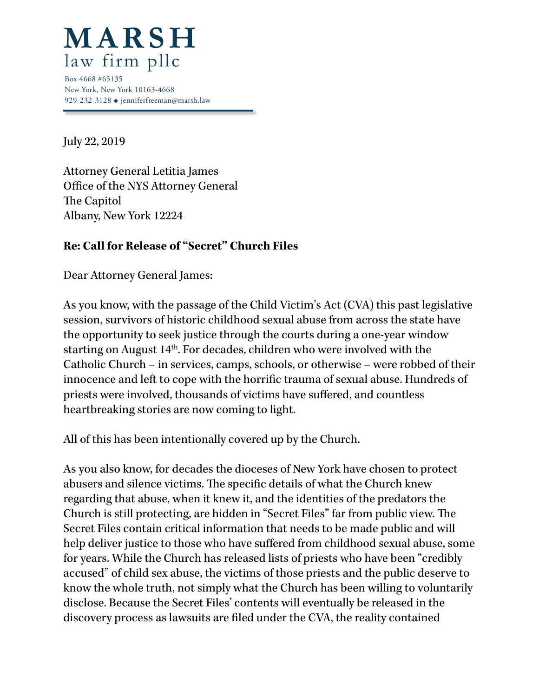## **MARSH** law firm pllc

Box 4668 #65135 New York, New York 10163-4668 929-232-3128 ● jenniferfreeman@marsh.law

July 22, 2019

Attorney General Letitia James Office of the NYS Attorney General The Capitol Albany, New York 12224

## **Re: Call for Release of "Secret" Church Files**

Dear Attorney General James:

As you know, with the passage of the Child Victim's Act (CVA) this past legislative session, survivors of historic childhood sexual abuse from across the state have the opportunity to seek justice through the courts during a one-year window starting on August 14<sup>th</sup>. For decades, children who were involved with the Catholic Church – in services, camps, schools, or otherwise – were robbed of their innocence and left to cope with the horrific trauma of sexual abuse. Hundreds of priests were involved, thousands of victims have suffered, and countless heartbreaking stories are now coming to light.

All of this has been intentionally covered up by the Church.

As you also know, for decades the dioceses of New York have chosen to protect abusers and silence victims. The specific details of what the Church knew regarding that abuse, when it knew it, and the identities of the predators the Church is still protecting, are hidden in "Secret Files" far from public view. The Secret Files contain critical information that needs to be made public and will help deliver justice to those who have suffered from childhood sexual abuse, some for years. While the Church has released lists of priests who have been "credibly accused" of child sex abuse, the victims of those priests and the public deserve to know the whole truth, not simply what the Church has been willing to voluntarily disclose. Because the Secret Files' contents will eventually be released in the discovery process as lawsuits are filed under the CVA, the reality contained